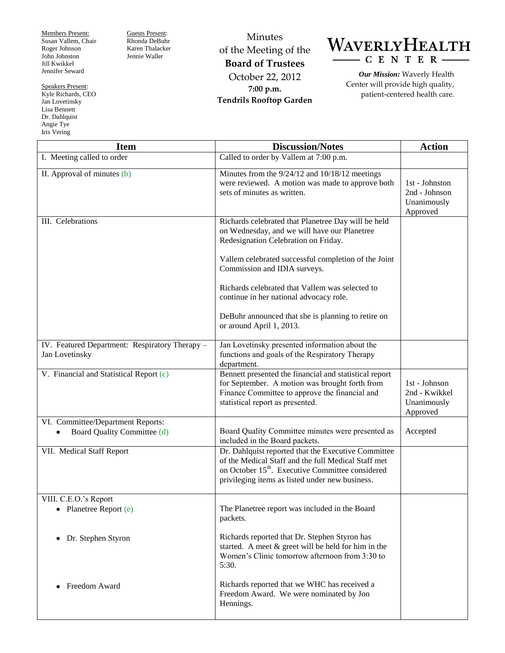Members Present: Susan Vallem, Chair Roger Johnson John Johnston Jill Kwikkel Jennifer Seward

Speakers Present: Kyle Richards, CEO Jan Lovetinsky Lisa Bennett Dr. Dahlquist Angie Tye

Iris Vering

Guests Present: Rhonda DeBuhr Karen Thalacker Jennie Waller

Minutes of the Meeting of the **Board of Trustees** October 22, 2012 **7:00 p.m. Tendrils Rooftop Garden**



*Our Mission:* Waverly Health Center will provide high quality, patient-centered health care.

| <b>Item</b>                                                      | <b>Discussion/Notes</b>                                                                                                                                                                                                                                                                                                                                                                                             | <b>Action</b>                                              |
|------------------------------------------------------------------|---------------------------------------------------------------------------------------------------------------------------------------------------------------------------------------------------------------------------------------------------------------------------------------------------------------------------------------------------------------------------------------------------------------------|------------------------------------------------------------|
| I. Meeting called to order                                       | Called to order by Vallem at 7:00 p.m.                                                                                                                                                                                                                                                                                                                                                                              |                                                            |
| II. Approval of minutes (b)                                      | Minutes from the $9/24/12$ and $10/18/12$ meetings<br>were reviewed. A motion was made to approve both<br>sets of minutes as written.                                                                                                                                                                                                                                                                               | 1st - Johnston<br>2nd - Johnson<br>Unanimously<br>Approved |
| III. Celebrations                                                | Richards celebrated that Planetree Day will be held<br>on Wednesday, and we will have our Planetree<br>Redesignation Celebration on Friday.<br>Vallem celebrated successful completion of the Joint<br>Commission and IDIA surveys.<br>Richards celebrated that Vallem was selected to<br>continue in her national advocacy role.<br>DeBuhr announced that she is planning to retire on<br>or around April 1, 2013. |                                                            |
| IV. Featured Department: Respiratory Therapy -<br>Jan Lovetinsky | Jan Lovetinsky presented information about the<br>functions and goals of the Respiratory Therapy<br>department.                                                                                                                                                                                                                                                                                                     |                                                            |
| V. Financial and Statistical Report (c)                          | Bennett presented the financial and statistical report<br>for September. A motion was brought forth from<br>Finance Committee to approve the financial and<br>statistical report as presented.                                                                                                                                                                                                                      | 1st - Johnson<br>2nd - Kwikkel<br>Unanimously<br>Approved  |
| VI. Committee/Department Reports:<br>Board Quality Committee (d) | Board Quality Committee minutes were presented as<br>included in the Board packets.                                                                                                                                                                                                                                                                                                                                 | Accepted                                                   |
| VII. Medical Staff Report                                        | Dr. Dahlquist reported that the Executive Committee<br>of the Medical Staff and the full Medical Staff met<br>on October 15 <sup>th</sup> . Executive Committee considered<br>privileging items as listed under new business.                                                                                                                                                                                       |                                                            |
| VIII. C.E.O.'s Report<br>Planetree Report (e)<br>٠               | The Planetree report was included in the Board<br>packets.                                                                                                                                                                                                                                                                                                                                                          |                                                            |
| Dr. Stephen Styron<br>$\bullet$                                  | Richards reported that Dr. Stephen Styron has<br>started. A meet $\&$ greet will be held for him in the<br>Women's Clinic tomorrow afternoon from 3:30 to<br>5:30.                                                                                                                                                                                                                                                  |                                                            |
| Freedom Award<br>$\bullet$                                       | Richards reported that we WHC has received a<br>Freedom Award. We were nominated by Jon<br>Hennings.                                                                                                                                                                                                                                                                                                                |                                                            |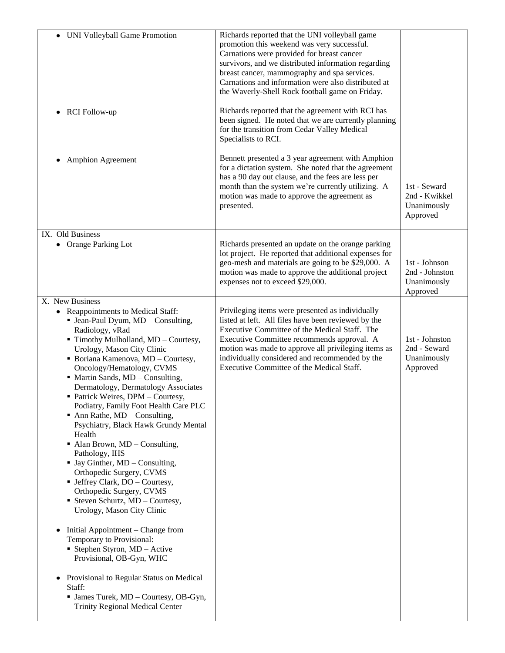| • UNI Volleyball Game Promotion<br><b>RCI</b> Follow-up<br>$\bullet$<br><b>Amphion Agreement</b><br>٠                                                                                                                                                                                                                                                                                                                                                                                                                                                                                                                                                                                                                                                                                                                                                                                                                                                                                                                                                                         | Richards reported that the UNI volleyball game<br>promotion this weekend was very successful.<br>Carnations were provided for breast cancer<br>survivors, and we distributed information regarding<br>breast cancer, mammography and spa services.<br>Carnations and information were also distributed at<br>the Waverly-Shell Rock football game on Friday.<br>Richards reported that the agreement with RCI has<br>been signed. He noted that we are currently planning<br>for the transition from Cedar Valley Medical<br>Specialists to RCI.<br>Bennett presented a 3 year agreement with Amphion |                                                            |
|-------------------------------------------------------------------------------------------------------------------------------------------------------------------------------------------------------------------------------------------------------------------------------------------------------------------------------------------------------------------------------------------------------------------------------------------------------------------------------------------------------------------------------------------------------------------------------------------------------------------------------------------------------------------------------------------------------------------------------------------------------------------------------------------------------------------------------------------------------------------------------------------------------------------------------------------------------------------------------------------------------------------------------------------------------------------------------|-------------------------------------------------------------------------------------------------------------------------------------------------------------------------------------------------------------------------------------------------------------------------------------------------------------------------------------------------------------------------------------------------------------------------------------------------------------------------------------------------------------------------------------------------------------------------------------------------------|------------------------------------------------------------|
|                                                                                                                                                                                                                                                                                                                                                                                                                                                                                                                                                                                                                                                                                                                                                                                                                                                                                                                                                                                                                                                                               | for a dictation system. She noted that the agreement<br>has a 90 day out clause, and the fees are less per<br>month than the system we're currently utilizing. A<br>motion was made to approve the agreement as<br>presented.                                                                                                                                                                                                                                                                                                                                                                         | 1st - Seward<br>2nd - Kwikkel<br>Unanimously<br>Approved   |
| IX. Old Business<br>• Orange Parking Lot                                                                                                                                                                                                                                                                                                                                                                                                                                                                                                                                                                                                                                                                                                                                                                                                                                                                                                                                                                                                                                      | Richards presented an update on the orange parking<br>lot project. He reported that additional expenses for<br>geo-mesh and materials are going to be \$29,000. A<br>motion was made to approve the additional project<br>expenses not to exceed \$29,000.                                                                                                                                                                                                                                                                                                                                            | 1st - Johnson<br>2nd - Johnston<br>Unanimously<br>Approved |
| X. New Business<br>• Reappointments to Medical Staff:<br>• Jean-Paul Dyum, MD - Consulting,<br>Radiology, vRad<br>Timothy Mulholland, MD - Courtesy,<br>Urology, Mason City Clinic<br>• Boriana Kamenova, MD - Courtesy,<br>Oncology/Hematology, CVMS<br>• Martin Sands, MD - Consulting,<br>Dermatology, Dermatology Associates<br>• Patrick Weires, DPM - Courtesy,<br>Podiatry, Family Foot Health Care PLC<br>$\blacksquare$ Ann Rathe, MD – Consulting,<br>Psychiatry, Black Hawk Grundy Mental<br>Health<br>$\blacksquare$ Alan Brown, MD – Consulting,<br>Pathology, IHS<br>$\blacksquare$ Jay Ginther, MD – Consulting,<br>Orthopedic Surgery, CVMS<br>• Jeffrey Clark, DO - Courtesy,<br>Orthopedic Surgery, CVMS<br>Steven Schurtz, MD - Courtesy,<br>Urology, Mason City Clinic<br>Initial Appointment – Change from<br>Temporary to Provisional:<br>Stephen Styron, MD - Active<br>Provisional, OB-Gyn, WHC<br>Provisional to Regular Status on Medical<br>$\bullet$<br>Staff:<br>• James Turek, MD - Courtesy, OB-Gyn,<br><b>Trinity Regional Medical Center</b> | Privileging items were presented as individually<br>listed at left. All files have been reviewed by the<br>Executive Committee of the Medical Staff. The<br>Executive Committee recommends approval. A<br>motion was made to approve all privileging items as<br>individually considered and recommended by the<br>Executive Committee of the Medical Staff.                                                                                                                                                                                                                                          | 1st - Johnston<br>2nd - Seward<br>Unanimously<br>Approved  |